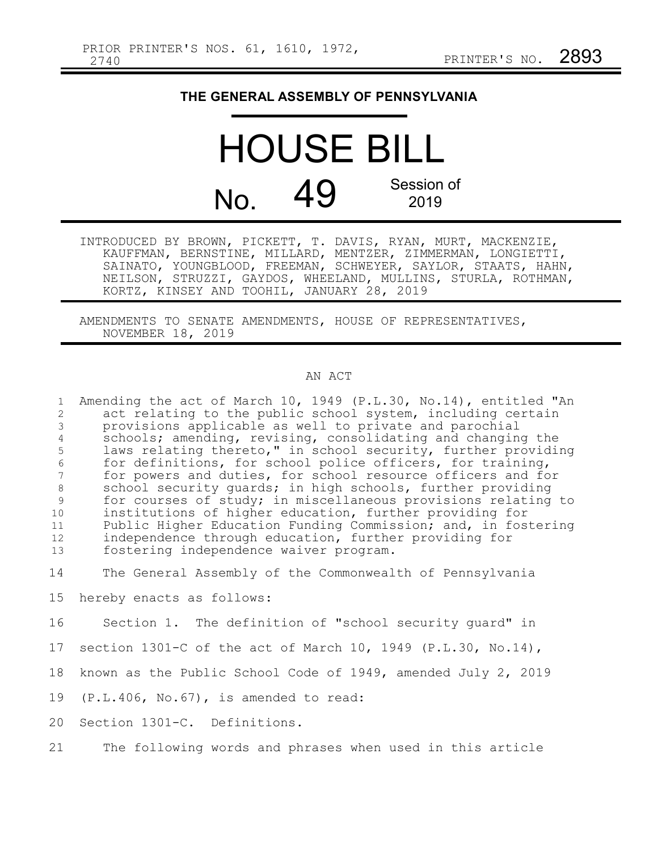## **THE GENERAL ASSEMBLY OF PENNSYLVANIA**

HOUSE BILL No. 49 Session of 2019

INTRODUCED BY BROWN, PICKETT, T. DAVIS, RYAN, MURT, MACKENZIE, KAUFFMAN, BERNSTINE, MILLARD, MENTZER, ZIMMERMAN, LONGIETTI, SAINATO, YOUNGBLOOD, FREEMAN, SCHWEYER, SAYLOR, STAATS, HAHN, NEILSON, STRUZZI, GAYDOS, WHEELAND, MULLINS, STURLA, ROTHMAN, KORTZ, KINSEY AND TOOHIL, JANUARY 28, 2019

AMENDMENTS TO SENATE AMENDMENTS, HOUSE OF REPRESENTATIVES, NOVEMBER 18, 2019

## AN ACT

Amending the act of March 10, 1949 (P.L.30, No.14), entitled "An act relating to the public school system, including certain provisions applicable as well to private and parochial schools; amending, revising, consolidating and changing the laws relating thereto," in school security, further providing for definitions, for school police officers, for training, for powers and duties, for school resource officers and for school security guards; in high schools, further providing for courses of study; in miscellaneous provisions relating to institutions of higher education, further providing for Public Higher Education Funding Commission; and, in fostering independence through education, further providing for fostering independence waiver program. 1 2 3 4 5 6 7 8 9 10 11 12 13

The General Assembly of the Commonwealth of Pennsylvania 14

hereby enacts as follows: 15

Section 1. The definition of "school security guard" in 16

- section 1301-C of the act of March 10, 1949 (P.L.30, No.14), 17
- known as the Public School Code of 1949, amended July 2, 2019 18
- (P.L.406, No.67), is amended to read: 19

Section 1301-C. Definitions. 20

The following words and phrases when used in this article 21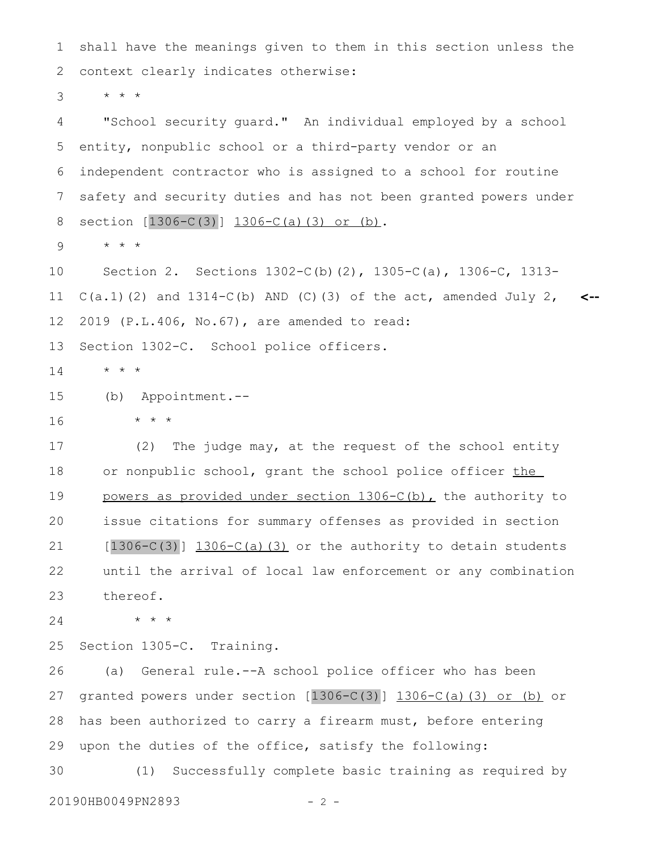shall have the meanings given to them in this section unless the context clearly indicates otherwise: 1 2

\* \* \* 3

"School security guard." An individual employed by a school entity, nonpublic school or a third-party vendor or an independent contractor who is assigned to a school for routine safety and security duties and has not been granted powers under section  $[1306-C(3)]$   $1306-C(a)(3)$  or (b). 4 5 6 7 8

\* \* \* 9

Section 2. Sections 1302-C(b)(2), 1305-C(a), 1306-C, 1313-  $C(a.1)$  (2) and  $1314-C(b)$  AND (C)(3) of the act, amended July 2, 2019 (P.L.406, No.67), are amended to read: Section 1302-C. School police officers. **<--** 10 11 12 13

\* \* \* 14

(b) Appointment.-- 15

\* \* \*

16

(2) The judge may, at the request of the school entity or nonpublic school, grant the school police officer the powers as provided under section 1306-C(b), the authority to issue citations for summary offenses as provided in section  $[1306-C(3)]$  1306-C(a)(3) or the authority to detain students until the arrival of local law enforcement or any combination thereof. 17 18 19 20 21 22 23

\* \* \* 24

Section 1305-C. Training. 25

(a) General rule.--A school police officer who has been granted powers under section  $[1306-C(3)]$   $1306-C(a)$  (3) or (b) or has been authorized to carry a firearm must, before entering upon the duties of the office, satisfy the following: (1) Successfully complete basic training as required by 26 27 28 29 30

20190HB0049PN2893 - 2 -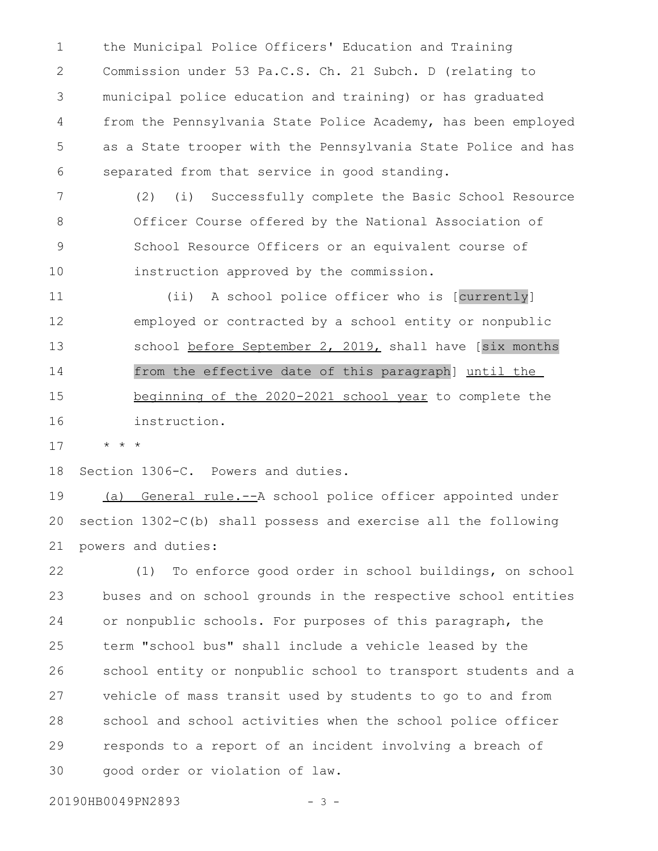the Municipal Police Officers' Education and Training Commission under 53 Pa.C.S. Ch. 21 Subch. D (relating to municipal police education and training) or has graduated from the Pennsylvania State Police Academy, has been employed as a State trooper with the Pennsylvania State Police and has separated from that service in good standing. 1 2 3 4 5 6

(2) (i) Successfully complete the Basic School Resource Officer Course offered by the National Association of School Resource Officers or an equivalent course of instruction approved by the commission. 7 8 9 10

(ii) A school police officer who is [currently] employed or contracted by a school entity or nonpublic school before September 2, 2019, shall have [six months from the effective date of this paragraph] until the beginning of the 2020-2021 school year to complete the instruction. 11 12 13 14 15 16

\* \* \* 17

Section 1306-C. Powers and duties. 18

(a) General rule.--A school police officer appointed under section 1302-C(b) shall possess and exercise all the following powers and duties: 19 20 21

(1) To enforce good order in school buildings, on school buses and on school grounds in the respective school entities or nonpublic schools. For purposes of this paragraph, the term "school bus" shall include a vehicle leased by the school entity or nonpublic school to transport students and a vehicle of mass transit used by students to go to and from school and school activities when the school police officer responds to a report of an incident involving a breach of good order or violation of law. 22 23 24 25 26 27 28 29 30

20190HB0049PN2893 - 3 -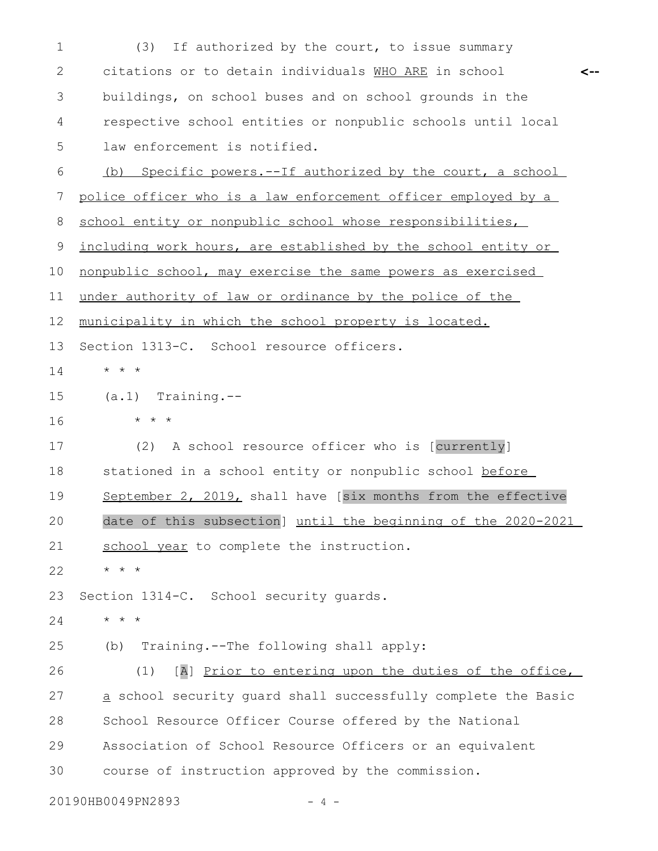(3) If authorized by the court, to issue summary citations or to detain individuals WHO ARE in school buildings, on school buses and on school grounds in the respective school entities or nonpublic schools until local law enforcement is notified. (b) Specific powers.--If authorized by the court, a school police officer who is a law enforcement officer employed by a school entity or nonpublic school whose responsibilities, including work hours, are established by the school entity or nonpublic school, may exercise the same powers as exercised under authority of law or ordinance by the police of the municipality in which the school property is located. Section 1313-C. School resource officers. \* \* \* (a.1) Training.-- \* \* \* (2) A school resource officer who is [currently] stationed in a school entity or nonpublic school before September 2, 2019, shall have [six months from the effective date of this subsection] until the beginning of the 2020-2021 school year to complete the instruction. \* \* \* Section 1314-C. School security guards. \* \* \* (b) Training.--The following shall apply: (1) [A] Prior to entering upon the duties of the office, a school security guard shall successfully complete the Basic School Resource Officer Course offered by the National Association of School Resource Officers or an equivalent course of instruction approved by the commission. **<--** 1 2 3 4 5 6 7 8 9 10 11 12 13 14 15 16 17 18 19 20 21 22 23 24 25 26 27 28 29 30

20190HB0049PN2893 - 4 -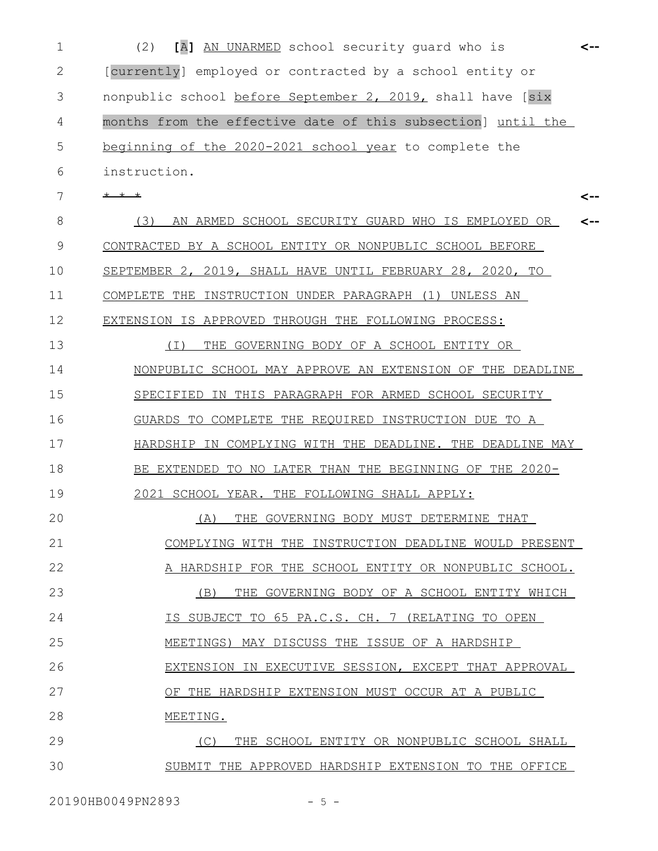(2) **[**A**]** AN UNARMED school security guard who is 1 **<--** [currently] employed or contracted by a school entity or nonpublic school before September 2, 2019, shall have [six months from the effective date of this subsection] until the beginning of the 2020-2021 school year to complete the instruction. \* \* \* (3) AN ARMED SCHOOL SECURITY GUARD WHO IS EMPLOYED OR CONTRACTED BY A SCHOOL ENTITY OR NONPUBLIC SCHOOL BEFORE SEPTEMBER 2, 2019, SHALL HAVE UNTIL FEBRUARY 28, 2020, TO COMPLETE THE INSTRUCTION UNDER PARAGRAPH (1) UNLESS AN EXTENSION IS APPROVED THROUGH THE FOLLOWING PROCESS: (I) THE GOVERNING BODY OF A SCHOOL ENTITY OR NONPUBLIC SCHOOL MAY APPROVE AN EXTENSION OF THE DEADLINE SPECIFIED IN THIS PARAGRAPH FOR ARMED SCHOOL SECURITY GUARDS TO COMPLETE THE REQUIRED INSTRUCTION DUE TO A HARDSHIP IN COMPLYING WITH THE DEADLINE. THE DEADLINE MAY BE EXTENDED TO NO LATER THAN THE BEGINNING OF THE 2020- 2021 SCHOOL YEAR. THE FOLLOWING SHALL APPLY: (A) THE GOVERNING BODY MUST DETERMINE THAT COMPLYING WITH THE INSTRUCTION DEADLINE WOULD PRESENT A HARDSHIP FOR THE SCHOOL ENTITY OR NONPUBLIC SCHOOL. (B) THE GOVERNING BODY OF A SCHOOL ENTITY WHICH IS SUBJECT TO 65 PA.C.S. CH. 7 (RELATING TO OPEN MEETINGS) MAY DISCUSS THE ISSUE OF A HARDSHIP EXTENSION IN EXECUTIVE SESSION, EXCEPT THAT APPROVAL OF THE HARDSHIP EXTENSION MUST OCCUR AT A PUBLIC MEETING. (C) THE SCHOOL ENTITY OR NONPUBLIC SCHOOL SHALL SUBMIT THE APPROVED HARDSHIP EXTENSION TO THE OFFICE **<-- <--** 2 3 4 5 6 7 8 9 10 11 12 13 14 15 16 17 18 19 20 21 22 23 24 25 26 27 28 29 30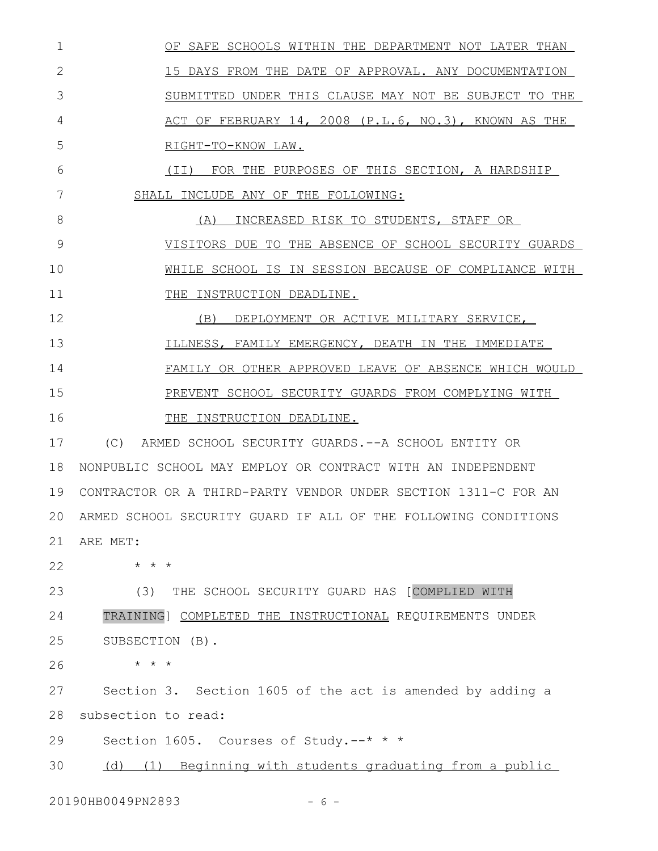| $\mathbf 1$  | OF SAFE SCHOOLS WITHIN THE DEPARTMENT NOT LATER THAN              |
|--------------|-------------------------------------------------------------------|
| $\mathbf{2}$ | 15 DAYS FROM THE DATE OF APPROVAL. ANY DOCUMENTATION              |
| 3            | SUBMITTED UNDER THIS CLAUSE MAY NOT BE SUBJECT TO THE             |
| 4            | ACT OF FEBRUARY 14, 2008 (P.L.6, NO.3), KNOWN AS THE              |
| 5            | RIGHT-TO-KNOW LAW.                                                |
| 6            | (II) FOR THE PURPOSES OF THIS SECTION, A HARDSHIP                 |
| 7            | SHALL INCLUDE ANY OF THE FOLLOWING:                               |
| 8            | (A) INCREASED RISK TO STUDENTS, STAFF OR                          |
| 9            | VISITORS DUE TO THE ABSENCE OF SCHOOL SECURITY GUARDS             |
| 10           | WHILE SCHOOL IS IN SESSION BECAUSE OF COMPLIANCE WITH             |
| 11           | THE INSTRUCTION DEADLINE.                                         |
| 12           | (B) DEPLOYMENT OR ACTIVE MILITARY SERVICE,                        |
| 13           | ILLNESS, FAMILY EMERGENCY, DEATH IN THE IMMEDIATE                 |
| 14           | FAMILY OR OTHER APPROVED LEAVE OF ABSENCE WHICH WOULD             |
| 15           | PREVENT SCHOOL SECURITY GUARDS FROM COMPLYING WITH                |
| 16           | THE INSTRUCTION DEADLINE.                                         |
| 17           | (C) ARMED SCHOOL SECURITY GUARDS. -- A SCHOOL ENTITY OR           |
| 18           | NONPUBLIC SCHOOL MAY EMPLOY OR CONTRACT WITH AN INDEPENDENT       |
| 19           | CONTRACTOR OR A THIRD-PARTY VENDOR UNDER SECTION 1311-C FOR AN    |
|              | 20 ARMED SCHOOL SECURITY GUARD IF ALL OF THE FOLLOWING CONDITIONS |
| 21           | ARE MET:                                                          |
| 22           | $\star$ $\star$ $\star$                                           |
| 23           | (3)<br>THE SCHOOL SECURITY GUARD HAS [COMPLIED WITH               |
| 24           | TRAINING] COMPLETED THE INSTRUCTIONAL REQUIREMENTS UNDER          |
| 25           | SUBSECTION (B).                                                   |
| 26           | $\star$ $\star$ $\star$                                           |
| 27           | Section 3. Section 1605 of the act is amended by adding a         |
| 28           | subsection to read:                                               |
| 29           | Section 1605. Courses of Study.--* * *                            |
| 30           | (d) (1) Beginning with students graduating from a public          |
|              |                                                                   |

20190HB0049PN2893 - 6 -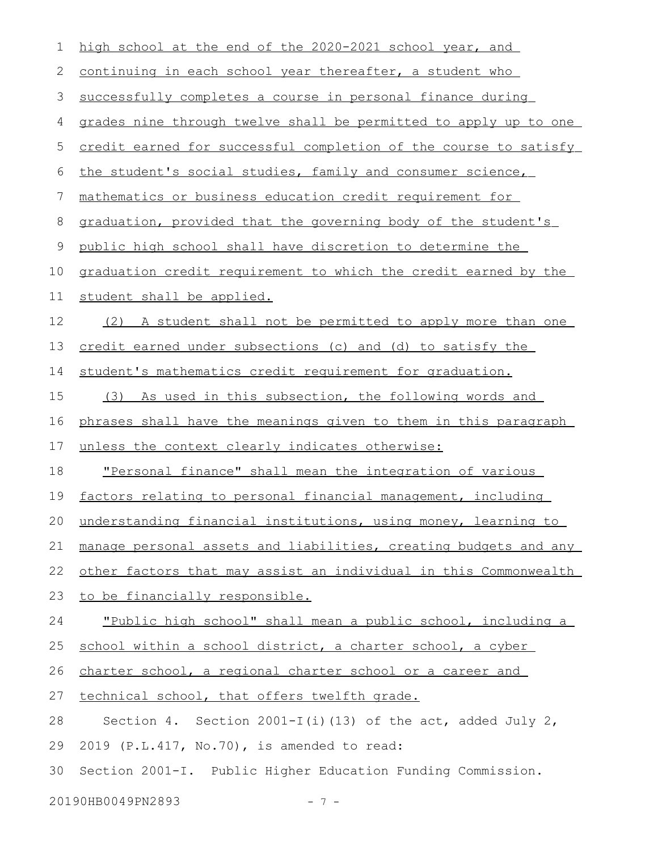| 2<br>continuing in each school year thereafter, a student who<br>3<br>successfully completes a course in personal finance during<br>4<br>5<br>the student's social studies, family and consumer science,<br>6<br>mathematics or business education credit requirement for<br>7<br>$8\,$<br>$\mathsf 9$<br>public high school shall have discretion to determine the<br>10<br>11<br>student shall be applied.<br>12<br>13<br>credit earned under subsections (c) and (d) to satisfy the<br>student's mathematics credit requirement for graduation.<br>14<br>15<br>16<br>17<br>unless the context clearly indicates otherwise:<br>18<br>19<br>$20 -$<br>21<br>22<br>23<br>to be financially responsible.<br>24<br>25<br>school within a school district, a charter school, a cyber<br>26<br>charter school, a regional charter school or a career and<br>27<br>technical school, that offers twelfth grade.<br>28<br>2019 (P.L.417, No.70), is amended to read:<br>29<br>30<br>Section 2001-I. Public Higher Education Funding Commission.<br>20190HB0049PN2893<br>$7 -$ | $\mathbf 1$ | high school at the end of the 2020-2021 school year, and             |
|-------------------------------------------------------------------------------------------------------------------------------------------------------------------------------------------------------------------------------------------------------------------------------------------------------------------------------------------------------------------------------------------------------------------------------------------------------------------------------------------------------------------------------------------------------------------------------------------------------------------------------------------------------------------------------------------------------------------------------------------------------------------------------------------------------------------------------------------------------------------------------------------------------------------------------------------------------------------------------------------------------------------------------------------------------------------------|-------------|----------------------------------------------------------------------|
|                                                                                                                                                                                                                                                                                                                                                                                                                                                                                                                                                                                                                                                                                                                                                                                                                                                                                                                                                                                                                                                                         |             |                                                                      |
|                                                                                                                                                                                                                                                                                                                                                                                                                                                                                                                                                                                                                                                                                                                                                                                                                                                                                                                                                                                                                                                                         |             |                                                                      |
|                                                                                                                                                                                                                                                                                                                                                                                                                                                                                                                                                                                                                                                                                                                                                                                                                                                                                                                                                                                                                                                                         |             | grades nine through twelve shall be permitted to apply up to one     |
|                                                                                                                                                                                                                                                                                                                                                                                                                                                                                                                                                                                                                                                                                                                                                                                                                                                                                                                                                                                                                                                                         |             | credit earned for successful completion of the course to satisfy     |
|                                                                                                                                                                                                                                                                                                                                                                                                                                                                                                                                                                                                                                                                                                                                                                                                                                                                                                                                                                                                                                                                         |             |                                                                      |
|                                                                                                                                                                                                                                                                                                                                                                                                                                                                                                                                                                                                                                                                                                                                                                                                                                                                                                                                                                                                                                                                         |             |                                                                      |
|                                                                                                                                                                                                                                                                                                                                                                                                                                                                                                                                                                                                                                                                                                                                                                                                                                                                                                                                                                                                                                                                         |             | graduation, provided that the governing body of the student's        |
|                                                                                                                                                                                                                                                                                                                                                                                                                                                                                                                                                                                                                                                                                                                                                                                                                                                                                                                                                                                                                                                                         |             |                                                                      |
|                                                                                                                                                                                                                                                                                                                                                                                                                                                                                                                                                                                                                                                                                                                                                                                                                                                                                                                                                                                                                                                                         |             | graduation credit requirement to which the credit earned by the      |
|                                                                                                                                                                                                                                                                                                                                                                                                                                                                                                                                                                                                                                                                                                                                                                                                                                                                                                                                                                                                                                                                         |             |                                                                      |
|                                                                                                                                                                                                                                                                                                                                                                                                                                                                                                                                                                                                                                                                                                                                                                                                                                                                                                                                                                                                                                                                         |             | (2) A student shall not be permitted to apply more than one          |
|                                                                                                                                                                                                                                                                                                                                                                                                                                                                                                                                                                                                                                                                                                                                                                                                                                                                                                                                                                                                                                                                         |             |                                                                      |
|                                                                                                                                                                                                                                                                                                                                                                                                                                                                                                                                                                                                                                                                                                                                                                                                                                                                                                                                                                                                                                                                         |             |                                                                      |
|                                                                                                                                                                                                                                                                                                                                                                                                                                                                                                                                                                                                                                                                                                                                                                                                                                                                                                                                                                                                                                                                         |             | (3) As used in this subsection, the following words and              |
|                                                                                                                                                                                                                                                                                                                                                                                                                                                                                                                                                                                                                                                                                                                                                                                                                                                                                                                                                                                                                                                                         |             | phrases shall have the meanings given to them in this paragraph      |
|                                                                                                                                                                                                                                                                                                                                                                                                                                                                                                                                                                                                                                                                                                                                                                                                                                                                                                                                                                                                                                                                         |             |                                                                      |
|                                                                                                                                                                                                                                                                                                                                                                                                                                                                                                                                                                                                                                                                                                                                                                                                                                                                                                                                                                                                                                                                         |             | <u>"Personal finance" shall mean the integration of various</u>      |
|                                                                                                                                                                                                                                                                                                                                                                                                                                                                                                                                                                                                                                                                                                                                                                                                                                                                                                                                                                                                                                                                         |             | factors relating to personal financial management, including         |
|                                                                                                                                                                                                                                                                                                                                                                                                                                                                                                                                                                                                                                                                                                                                                                                                                                                                                                                                                                                                                                                                         |             | understanding financial institutions, using money, learning to       |
|                                                                                                                                                                                                                                                                                                                                                                                                                                                                                                                                                                                                                                                                                                                                                                                                                                                                                                                                                                                                                                                                         |             | manage personal assets and liabilities, creating budgets and any     |
|                                                                                                                                                                                                                                                                                                                                                                                                                                                                                                                                                                                                                                                                                                                                                                                                                                                                                                                                                                                                                                                                         |             | other factors that may assist an individual in this Commonwealth     |
|                                                                                                                                                                                                                                                                                                                                                                                                                                                                                                                                                                                                                                                                                                                                                                                                                                                                                                                                                                                                                                                                         |             |                                                                      |
|                                                                                                                                                                                                                                                                                                                                                                                                                                                                                                                                                                                                                                                                                                                                                                                                                                                                                                                                                                                                                                                                         |             | <u>"Public high school" shall mean a public school, including a </u> |
|                                                                                                                                                                                                                                                                                                                                                                                                                                                                                                                                                                                                                                                                                                                                                                                                                                                                                                                                                                                                                                                                         |             |                                                                      |
|                                                                                                                                                                                                                                                                                                                                                                                                                                                                                                                                                                                                                                                                                                                                                                                                                                                                                                                                                                                                                                                                         |             |                                                                      |
|                                                                                                                                                                                                                                                                                                                                                                                                                                                                                                                                                                                                                                                                                                                                                                                                                                                                                                                                                                                                                                                                         |             |                                                                      |
|                                                                                                                                                                                                                                                                                                                                                                                                                                                                                                                                                                                                                                                                                                                                                                                                                                                                                                                                                                                                                                                                         |             | Section 4. Section 2001-I(i)(13) of the act, added July 2,           |
|                                                                                                                                                                                                                                                                                                                                                                                                                                                                                                                                                                                                                                                                                                                                                                                                                                                                                                                                                                                                                                                                         |             |                                                                      |
|                                                                                                                                                                                                                                                                                                                                                                                                                                                                                                                                                                                                                                                                                                                                                                                                                                                                                                                                                                                                                                                                         |             |                                                                      |
|                                                                                                                                                                                                                                                                                                                                                                                                                                                                                                                                                                                                                                                                                                                                                                                                                                                                                                                                                                                                                                                                         |             |                                                                      |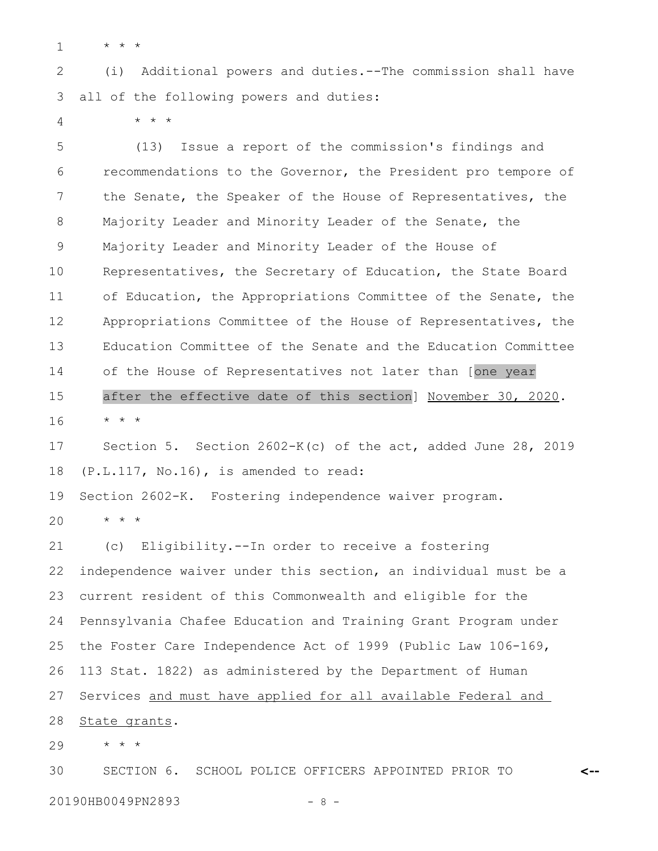\* \* \* 1

\* \* \*

(i) Additional powers and duties.--The commission shall have all of the following powers and duties: 2 3

4

(13) Issue a report of the commission's findings and recommendations to the Governor, the President pro tempore of the Senate, the Speaker of the House of Representatives, the Majority Leader and Minority Leader of the Senate, the Majority Leader and Minority Leader of the House of Representatives, the Secretary of Education, the State Board of Education, the Appropriations Committee of the Senate, the Appropriations Committee of the House of Representatives, the Education Committee of the Senate and the Education Committee of the House of Representatives not later than [one year after the effective date of this section] November 30, 2020. \* \* \* Section 5. Section 2602-K(c) of the act, added June 28, 2019 (P.L.117, No.16), is amended to read: 5 6 7 8 9 10 11 12 13 14 15 16 17 18

Section 2602-K. Fostering independence waiver program. 19

\* \* \* 20

(c) Eligibility.--In order to receive a fostering independence waiver under this section, an individual must be a current resident of this Commonwealth and eligible for the Pennsylvania Chafee Education and Training Grant Program under the Foster Care Independence Act of 1999 (Public Law 106-169, 113 Stat. 1822) as administered by the Department of Human Services and must have applied for all available Federal and State grants. 21 22 23 24 25 26 27 28

\* \* \* 29

SECTION 6. SCHOOL POLICE OFFICERS APPOINTED PRIOR TO 30

20190HB0049PN2893 - 8 -

**<--**